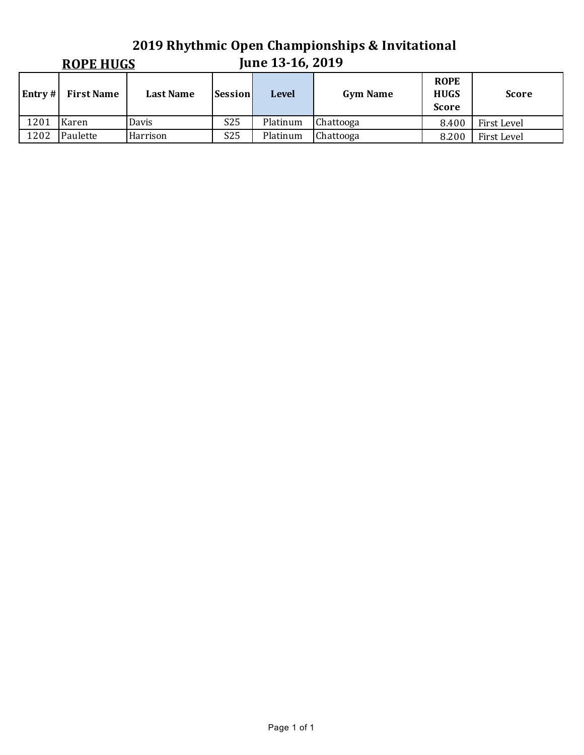## **2019 Rhythmic Open Championships & Invitational June 13-16, 2019 ROPE HUGS Entry** # **First Name Last Name Session Level Gym Name ROPE HUGS Score Score** 1201 Karen Davis S25 Platinum Chattooga 8.400 First Level 1202 Paulette Harrison 1975 Platinum Chattooga 198.200 First Level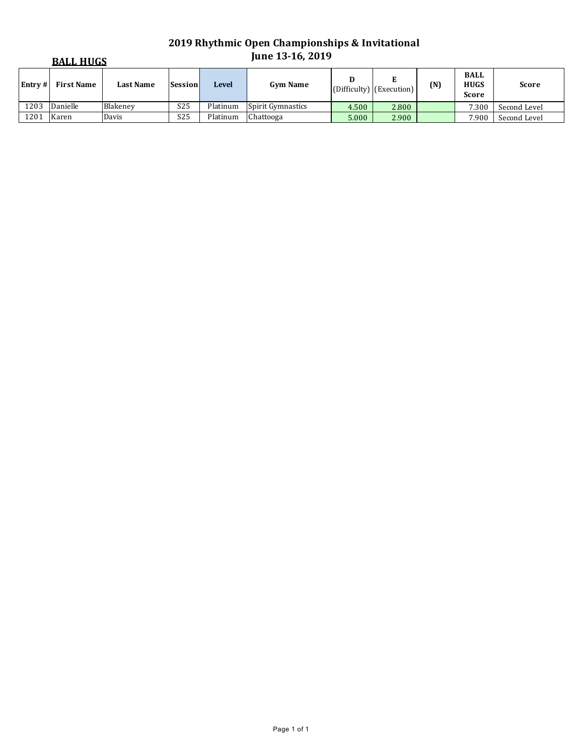# **2019 Rhythmic Open Championships & Invitational June 13-16, 2019**

| <b>BALL HUGS</b> |            |                  |                 | <b>June 13-16, 2019</b> |                          |       |                                      |     |                                            |              |
|------------------|------------|------------------|-----------------|-------------------------|--------------------------|-------|--------------------------------------|-----|--------------------------------------------|--------------|
| Entrv#           | First Name | <b>Last Name</b> | <b>Session</b>  | <b>Level</b>            | <b>Gym Name</b>          |       | $ $ (Difficulty) $ $ (Execution) $ $ | (N) | <b>BALL</b><br><b>HUGS</b><br><b>Score</b> | <b>Score</b> |
| 1203             | Danielle   | Blakenev         | S25             | Platinum                | <b>Spirit Gymnastics</b> | 4.500 | 2.800                                |     | 7.300                                      | Second Level |
| 1201             | Karen      | Davis            | S <sub>25</sub> | Platinum                | Chattooga                | 5.000 | 2.900                                |     | 7.900                                      | Second Level |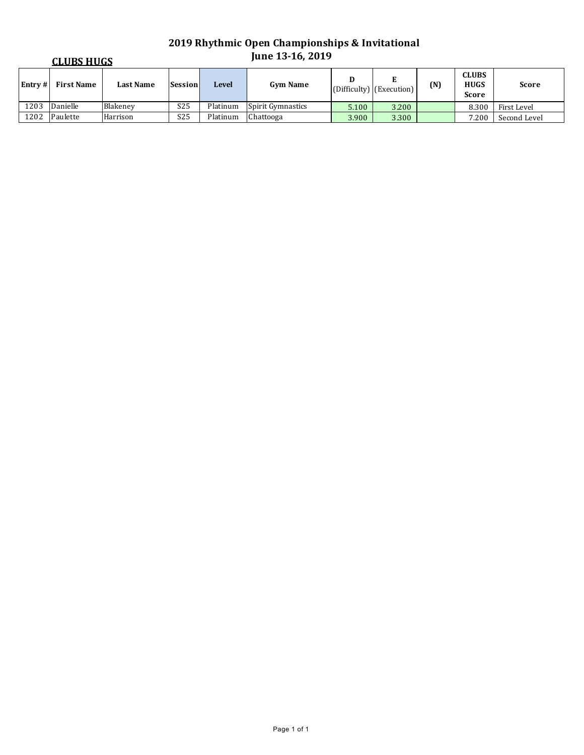# **2019 Rhythmic Open Championships & Invitational June 13-16, 2019**

| <b>CLUBS HUGS</b> |            |                  |                 | <b>June 13-16, 2019</b> |                          |       |                                      |     |                                             |              |
|-------------------|------------|------------------|-----------------|-------------------------|--------------------------|-------|--------------------------------------|-----|---------------------------------------------|--------------|
| Entrv#            | First Name | <b>Last Name</b> | <b>Session</b>  | Level                   | <b>Gym Name</b>          |       | $ $ (Difficulty) $ $ (Execution) $ $ | (N) | <b>CLUBS</b><br><b>HUGS</b><br><b>Score</b> | <b>Score</b> |
| 1203              | Danielle   | Blakenev         | S25             | Platinum                | <b>Spirit Gymnastics</b> | 5.100 | 3.200                                |     | 8.300                                       | First Level  |
| 1202              | Paulette   | Harrison         | S <sub>25</sub> | Platinum                | Chattooga                | 3.900 | 3.300                                |     | 7.200                                       | Second Level |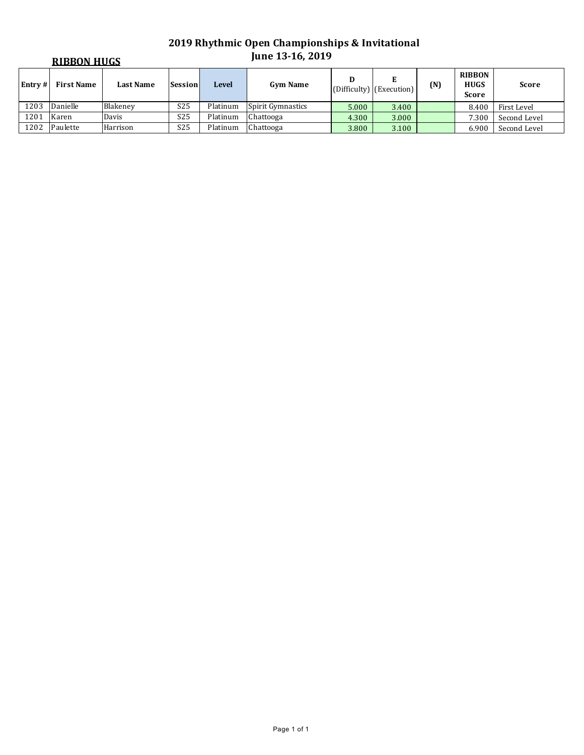# **2019 Rhythmic Open Championships & Invitational June 13-16, 2019**

| <b>RIBBON HUGS</b> |                   |                  |                 |          | <b>June 13-16, 2019</b> |       |                                 |     |                                              |              |  |  |
|--------------------|-------------------|------------------|-----------------|----------|-------------------------|-------|---------------------------------|-----|----------------------------------------------|--------------|--|--|
| Entrv#             | <b>First Name</b> | <b>Last Name</b> | Session         | Level    | <b>Gym Name</b>         | D     | E<br>$(Difficulty)$ (Execution) | (N) | <b>RIBBON</b><br><b>HUGS</b><br><b>Score</b> | <b>Score</b> |  |  |
| 1203               | Danielle          | Blakenev         | S <sub>25</sub> | Platinum | Spirit Gymnastics       | 5.000 | 3.400                           |     | 8.400                                        | First Level  |  |  |
| 1201               | Karen             | Davis            | S <sub>25</sub> | Platinum | Chattooga               | 4.300 | 3.000                           |     | 7.300                                        | Second Level |  |  |
| 1202               | Paulette          | Harrison         | S <sub>25</sub> | Platinum | Chattooga               | 3.800 | 3.100                           |     | 6.900                                        | Second Level |  |  |